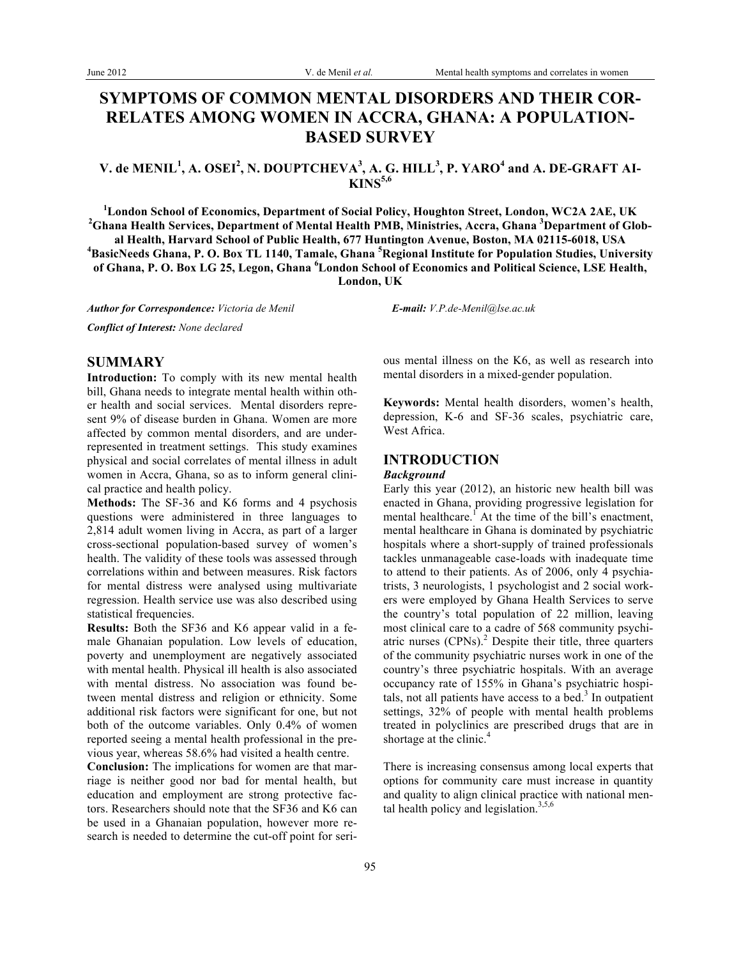# **SYMPTOMS OF COMMON MENTAL DISORDERS AND THEIR COR-RELATES AMONG WOMEN IN ACCRA, GHANA: A POPULATION-BASED SURVEY**

## **V. de MENIL<sup>1</sup> , A. OSEI<sup>2</sup> , N. DOUPTCHEVA<sup>3</sup> , A. G. HILL<sup>3</sup> , P. YARO<sup>4</sup> and A. DE-GRAFT AI-KINS5,6**

<sup>1</sup>London School of Economics, Department of Social Policy, Houghton Street, London, WC2A 2AE, UK<br><sup>2</sup>Chang Hoalth Services, Department of Montel Hoalth PMP, Ministries, Agens, Chang <sup>3</sup>Department of Cla **Ghana Health Services, Department of Mental Health PMB, Ministries, Accra, Ghana 3 Department of Global Health, Harvard School of Public Health, 677 Huntington Avenue, Boston, MA 02115-6018, USA 4 BasicNeeds Ghana, P. O. Box TL 1140, Tamale, Ghana <sup>5</sup> Regional Institute for Population Studies, University of Ghana, P. O. Box LG 25, Legon, Ghana <sup>6</sup> London School of Economics and Political Science, LSE Health, London, UK**

*Author for Correspondence: Victoria de Menil E-mail: V.P.de-Menil@lse.ac.uk*

*Conflict of Interest: None declared*

## **SUMMARY**

**Introduction:** To comply with its new mental health bill, Ghana needs to integrate mental health within other health and social services. Mental disorders represent 9% of disease burden in Ghana. Women are more affected by common mental disorders, and are underrepresented in treatment settings. This study examines physical and social correlates of mental illness in adult women in Accra, Ghana, so as to inform general clinical practice and health policy.

**Methods:** The SF-36 and K6 forms and 4 psychosis questions were administered in three languages to 2,814 adult women living in Accra, as part of a larger cross-sectional population-based survey of women's health. The validity of these tools was assessed through correlations within and between measures. Risk factors for mental distress were analysed using multivariate regression. Health service use was also described using statistical frequencies.

**Results:** Both the SF36 and K6 appear valid in a female Ghanaian population. Low levels of education, poverty and unemployment are negatively associated with mental health. Physical ill health is also associated with mental distress. No association was found between mental distress and religion or ethnicity. Some additional risk factors were significant for one, but not both of the outcome variables. Only 0.4% of women reported seeing a mental health professional in the previous year, whereas 58.6% had visited a health centre.

**Conclusion:** The implications for women are that marriage is neither good nor bad for mental health, but education and employment are strong protective factors. Researchers should note that the SF36 and K6 can be used in a Ghanaian population, however more research is needed to determine the cut-off point for seri-

ous mental illness on the K6, as well as research into mental disorders in a mixed-gender population.

**Keywords:** Mental health disorders, women's health, depression, K-6 and SF-36 scales, psychiatric care, West Africa.

## **INTRODUCTION**

#### *Background*

Early this year (2012), an historic new health bill was enacted in Ghana, providing progressive legislation for mental healthcare.<sup>1</sup> At the time of the bill's enactment, mental healthcare in Ghana is dominated by psychiatric hospitals where a short-supply of trained professionals tackles unmanageable case-loads with inadequate time to attend to their patients. As of 2006, only 4 psychiatrists, 3 neurologists, 1 psychologist and 2 social workers were employed by Ghana Health Services to serve the country's total population of 22 million, leaving most clinical care to a cadre of 568 community psychiatric nurses (CPNs). <sup>2</sup> Despite their title, three quarters of the community psychiatric nurses work in one of the country's three psychiatric hospitals. With an average occupancy rate of 155% in Ghana's psychiatric hospitals, not all patients have access to a bed. $3$  In outpatient settings, 32% of people with mental health problems treated in polyclinics are prescribed drugs that are in shortage at the clinic.<sup>4</sup>

There is increasing consensus among local experts that options for community care must increase in quantity and quality to align clinical practice with national mental health policy and legislation.<sup>3,5,6</sup>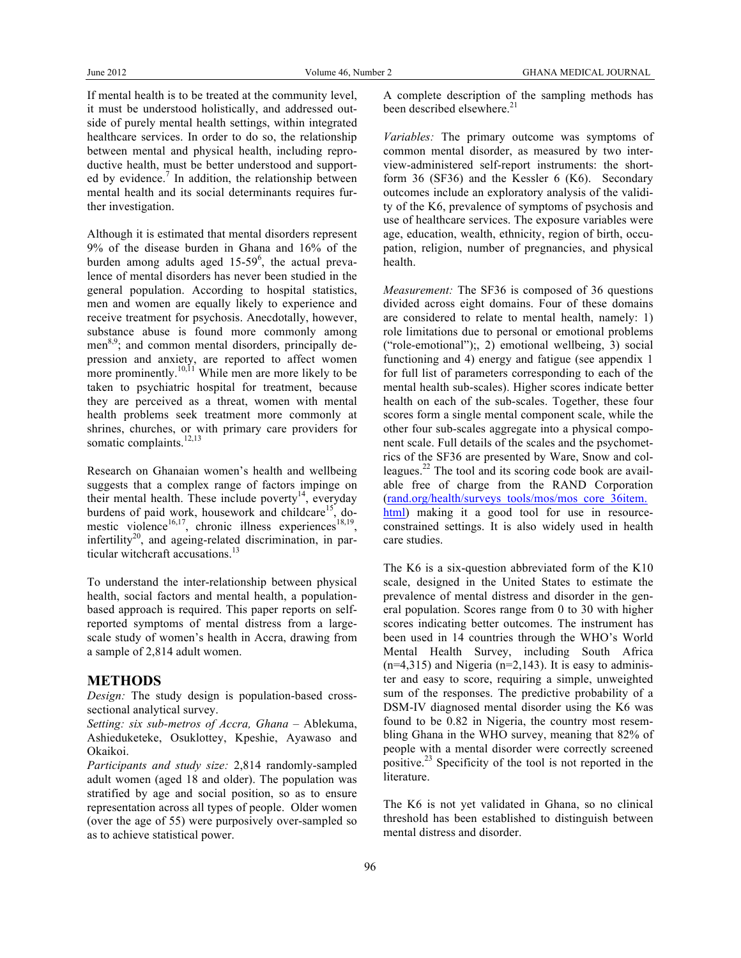If mental health is to be treated at the community level, it must be understood holistically, and addressed outside of purely mental health settings, within integrated healthcare services. In order to do so, the relationship between mental and physical health, including reproductive health, must be better understood and supported by evidence.<sup>7</sup> In addition, the relationship between mental health and its social determinants requires further investigation.

Although it is estimated that mental disorders represent 9% of the disease burden in Ghana and 16% of the burden among adults aged 15-59<sup>6</sup>, the actual prevalence of mental disorders has never been studied in the general population. According to hospital statistics, men and women are equally likely to experience and receive treatment for psychosis. Anecdotally, however, substance abuse is found more commonly among men<sup>8,9</sup>; and common mental disorders, principally depression and anxiety, are reported to affect women more prominently.<sup>10,11</sup> While men are more likely to be taken to psychiatric hospital for treatment, because they are perceived as a threat, women with mental health problems seek treatment more commonly at shrines, churches, or with primary care providers for somatic complaints.<sup>12,13</sup>

Research on Ghanaian women's health and wellbeing suggests that a complex range of factors impinge on their mental health. These include poverty $14$ , everyday burdens of paid work, housework and childcare<sup>15</sup>, domestic violence<sup>16,17</sup>, chronic illness experiences<sup>18,19</sup>, infertility<sup>20</sup>, and ageing-related discrimination, in particular witchcraft accusations.<sup>13</sup>

To understand the inter-relationship between physical health, social factors and mental health, a populationbased approach is required. This paper reports on selfreported symptoms of mental distress from a largescale study of women's health in Accra, drawing from a sample of 2,814 adult women.

## **METHODS**

*Design:* The study design is population-based crosssectional analytical survey.

*Setting: six sub-metros of Accra, Ghana* – Ablekuma, Ashieduketeke, Osuklottey, Kpeshie, Ayawaso and Okaikoi.

*Participants and study size:* 2,814 randomly-sampled adult women (aged 18 and older). The population was stratified by age and social position, so as to ensure representation across all types of people. Older women (over the age of 55) were purposively over-sampled so as to achieve statistical power.

A complete description of the sampling methods has been described elsewhere.<sup>21</sup>

*Variables:* The primary outcome was symptoms of common mental disorder, as measured by two interview-administered self-report instruments: the shortform 36 (SF36) and the Kessler 6 (K6). Secondary outcomes include an exploratory analysis of the validity of the K6, prevalence of symptoms of psychosis and use of healthcare services. The exposure variables were age, education, wealth, ethnicity, region of birth, occupation, religion, number of pregnancies, and physical health.

*Measurement:* The SF36 is composed of 36 questions divided across eight domains. Four of these domains are considered to relate to mental health, namely: 1) role limitations due to personal or emotional problems ("role-emotional");, 2) emotional wellbeing, 3) social functioning and 4) energy and fatigue (see appendix 1 for full list of parameters corresponding to each of the mental health sub-scales). Higher scores indicate better health on each of the sub-scales. Together, these four scores form a single mental component scale, while the other four sub-scales aggregate into a physical component scale. Full details of the scales and the psychometrics of the SF36 are presented by Ware, Snow and colleagues.<sup>22</sup> The tool and its scoring code book are available free of charge from the RAND Corporation (rand.org/health/surveys\_tools/mos/mos\_core\_36item. html) making it a good tool for use in resourceconstrained settings. It is also widely used in health care studies.

The K6 is a six-question abbreviated form of the K10 scale, designed in the United States to estimate the prevalence of mental distress and disorder in the general population. Scores range from 0 to 30 with higher scores indicating better outcomes. The instrument has been used in 14 countries through the WHO's World Mental Health Survey, including South Africa  $(n=4,315)$  and Nigeria  $(n=2,143)$ . It is easy to administer and easy to score, requiring a simple, unweighted sum of the responses. The predictive probability of a DSM-IV diagnosed mental disorder using the K6 was found to be 0.82 in Nigeria, the country most resembling Ghana in the WHO survey, meaning that 82% of people with a mental disorder were correctly screened positive.<sup>23</sup> Specificity of the tool is not reported in the literature.

The K6 is not yet validated in Ghana, so no clinical threshold has been established to distinguish between mental distress and disorder.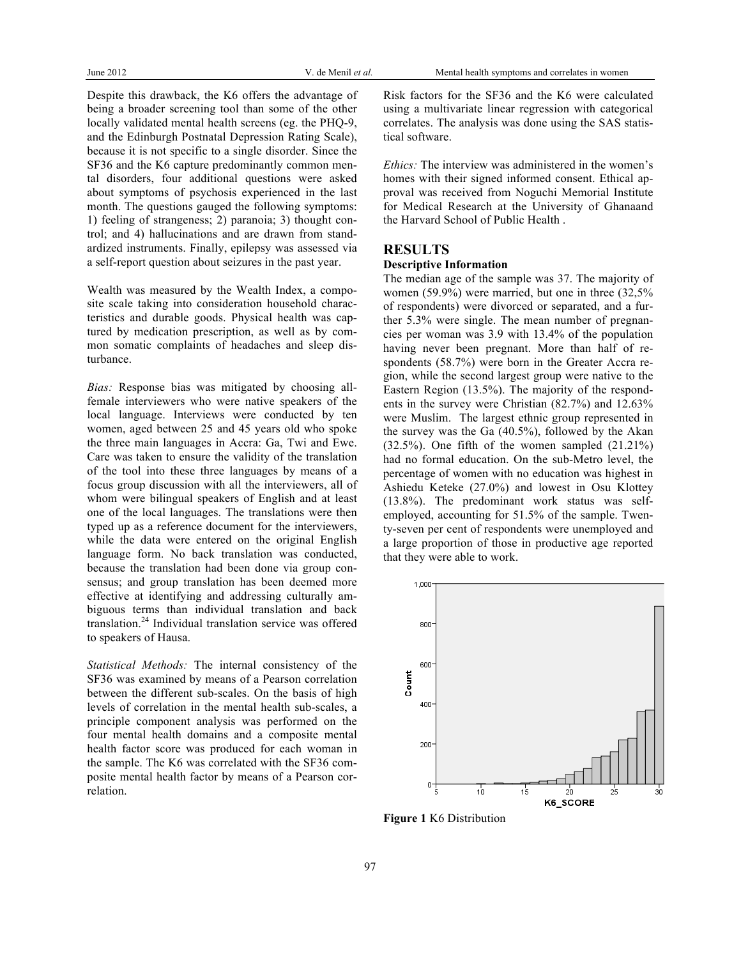Despite this drawback, the K6 offers the advantage of being a broader screening tool than some of the other locally validated mental health screens (eg. the PHQ-9, and the Edinburgh Postnatal Depression Rating Scale), because it is not specific to a single disorder. Since the SF36 and the K6 capture predominantly common mental disorders, four additional questions were asked about symptoms of psychosis experienced in the last month. The questions gauged the following symptoms: 1) feeling of strangeness; 2) paranoia; 3) thought control; and 4) hallucinations and are drawn from standardized instruments. Finally, epilepsy was assessed via a self-report question about seizures in the past year.

Wealth was measured by the Wealth Index, a composite scale taking into consideration household characteristics and durable goods. Physical health was captured by medication prescription, as well as by common somatic complaints of headaches and sleep disturbance.

*Bias:* Response bias was mitigated by choosing allfemale interviewers who were native speakers of the local language. Interviews were conducted by ten women, aged between 25 and 45 years old who spoke the three main languages in Accra: Ga, Twi and Ewe. Care was taken to ensure the validity of the translation of the tool into these three languages by means of a focus group discussion with all the interviewers, all of whom were bilingual speakers of English and at least one of the local languages. The translations were then typed up as a reference document for the interviewers, while the data were entered on the original English language form. No back translation was conducted, because the translation had been done via group consensus; and group translation has been deemed more effective at identifying and addressing culturally ambiguous terms than individual translation and back translation.<sup>24</sup> Individual translation service was offered to speakers of Hausa.

*Statistical Methods:* The internal consistency of the SF36 was examined by means of a Pearson correlation between the different sub-scales. On the basis of high levels of correlation in the mental health sub-scales, a principle component analysis was performed on the four mental health domains and a composite mental health factor score was produced for each woman in the sample. The K6 was correlated with the SF36 composite mental health factor by means of a Pearson correlation.

Risk factors for the SF36 and the K6 were calculated using a multivariate linear regression with categorical correlates. The analysis was done using the SAS statistical software.

*Ethics:* The interview was administered in the women's homes with their signed informed consent. Ethical approval was received from Noguchi Memorial Institute for Medical Research at the University of Ghanaand the Harvard School of Public Health .

## **RESULTS**

#### **Descriptive Information**

The median age of the sample was 37. The majority of women (59.9%) were married, but one in three (32,5% of respondents) were divorced or separated, and a further 5.3% were single. The mean number of pregnancies per woman was 3.9 with 13.4% of the population having never been pregnant. More than half of respondents (58.7%) were born in the Greater Accra region, while the second largest group were native to the Eastern Region (13.5%). The majority of the respondents in the survey were Christian (82.7%) and 12.63% were Muslim. The largest ethnic group represented in the survey was the Ga (40.5%), followed by the Akan  $(32.5\%)$ . One fifth of the women sampled  $(21.21\%)$ had no formal education. On the sub-Metro level, the percentage of women with no education was highest in Ashiedu Keteke (27.0%) and lowest in Osu Klottey (13.8%). The predominant work status was selfemployed, accounting for 51.5% of the sample. Twenty-seven per cent of respondents were unemployed and a large proportion of those in productive age reported that they were able to work.



**Figure 1** K6 Distribution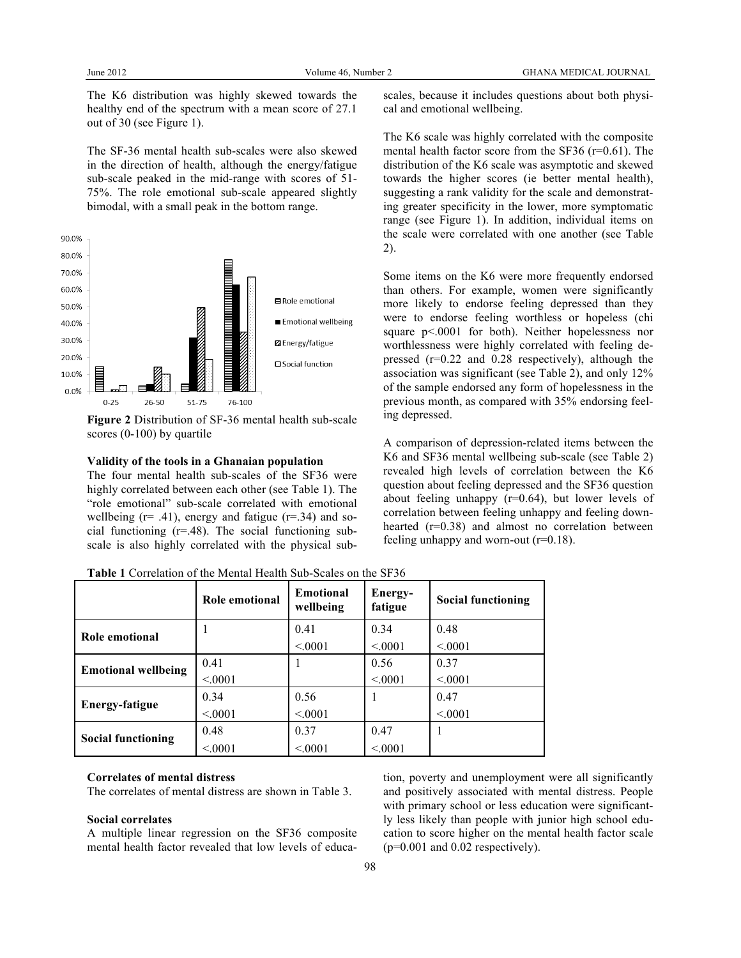The K6 distribution was highly skewed towards the healthy end of the spectrum with a mean score of 27.1 out of 30 (see Figure 1).

The SF-36 mental health sub-scales were also skewed in the direction of health, although the energy/fatigue sub-scale peaked in the mid-range with scores of 51- 75%. The role emotional sub-scale appeared slightly bimodal, with a small peak in the bottom range.



**Figure 2** Distribution of SF-36 mental health sub-scale scores (0-100) by quartile

#### **Validity of the tools in a Ghanaian population**

The four mental health sub-scales of the SF36 were highly correlated between each other (see Table 1). The "role emotional" sub-scale correlated with emotional wellbeing  $(r= .41)$ , energy and fatigue  $(r= .34)$  and social functioning  $(r=.48)$ . The social functioning subscale is also highly correlated with the physical subscales, because it includes questions about both physical and emotional wellbeing.

The K6 scale was highly correlated with the composite mental health factor score from the SF36 (r=0.61). The distribution of the K6 scale was asymptotic and skewed towards the higher scores (ie better mental health), suggesting a rank validity for the scale and demonstrating greater specificity in the lower, more symptomatic range (see Figure 1). In addition, individual items on the scale were correlated with one another (see Table 2).

Some items on the K6 were more frequently endorsed than others. For example, women were significantly more likely to endorse feeling depressed than they were to endorse feeling worthless or hopeless (chi square p<.0001 for both). Neither hopelessness nor worthlessness were highly correlated with feeling depressed (r=0.22 and 0.28 respectively), although the association was significant (see Table 2), and only 12% of the sample endorsed any form of hopelessness in the previous month, as compared with 35% endorsing feeling depressed.

A comparison of depression-related items between the K6 and SF36 mental wellbeing sub-scale (see Table 2) revealed high levels of correlation between the K6 question about feeling depressed and the SF36 question about feeling unhappy (r=0.64), but lower levels of correlation between feeling unhappy and feeling downhearted (r=0.38) and almost no correlation between feeling unhappy and worn-out (r=0.18).

**Table 1** Correlation of the Mental Health Sub-Scales on the SF36

|                            | Role emotional | Emotional<br>wellbeing | Energy-<br>fatigue | <b>Social functioning</b> |
|----------------------------|----------------|------------------------|--------------------|---------------------------|
| Role emotional             |                | 0.41                   | 0.34               | 0.48                      |
|                            |                | < 0.001                | < 0.001            | < 0.001                   |
| <b>Emotional wellbeing</b> | 0.41           |                        | 0.56               | 0.37                      |
|                            | < 0001         |                        | < 0001             | < 0001                    |
| Energy-fatigue             | 0.34           | 0.56                   |                    | 0.47                      |
|                            | < 0.001        | < 0.001                |                    | < 0.001                   |
| <b>Social functioning</b>  | 0.48           | 0.37                   | 0.47               | 1                         |
|                            | < 0.001        | < 0.001                | < 0.001            |                           |

## **Correlates of mental distress**

The correlates of mental distress are shown in Table 3.

#### **Social correlates**

A multiple linear regression on the SF36 composite mental health factor revealed that low levels of education, poverty and unemployment were all significantly and positively associated with mental distress. People with primary school or less education were significantly less likely than people with junior high school education to score higher on the mental health factor scale (p=0.001 and 0.02 respectively).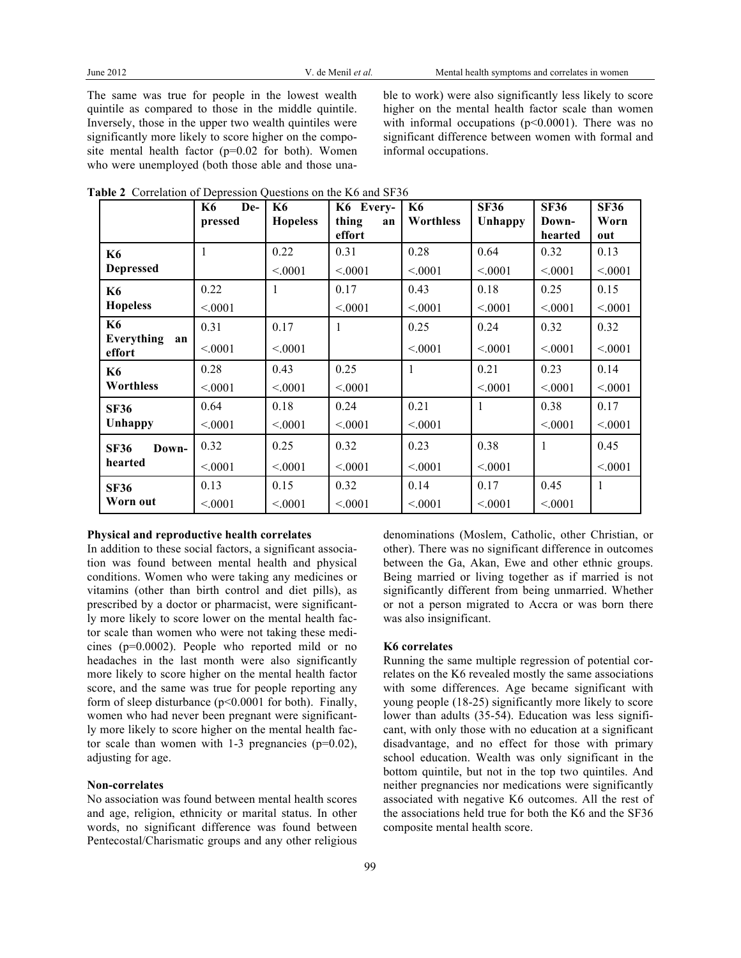The same was true for people in the lowest wealth quintile as compared to those in the middle quintile. Inversely, those in the upper two wealth quintiles were significantly more likely to score higher on the composite mental health factor (p=0.02 for both). Women who were unemployed (both those able and those unable to work) were also significantly less likely to score higher on the mental health factor scale than women with informal occupations ( $p<0.0001$ ). There was no significant difference between women with formal and informal occupations.

|                            | <b>K6</b><br>De-<br>pressed | <b>K6</b><br><b>Hopeless</b> | K6 Every-<br>thing<br>an<br>effort | <b>K6</b><br><b>Worthless</b> | <b>SF36</b><br>Unhappy | <b>SF36</b><br>Down-<br>hearted | <b>SF36</b><br>Worn<br>out |
|----------------------------|-----------------------------|------------------------------|------------------------------------|-------------------------------|------------------------|---------------------------------|----------------------------|
| <b>K6</b>                  | 1                           | 0.22                         | 0.31                               | 0.28                          | 0.64                   | 0.32                            | 0.13                       |
| <b>Depressed</b>           |                             | < 0.001                      | < 0.001                            | < 0.001                       | < 0001                 | < 0.001                         | < 0001                     |
| <b>K6</b>                  | 0.22                        | 1                            | 0.17                               | 0.43                          | 0.18                   | 0.25                            | 0.15                       |
| <b>Hopeless</b>            | < 0.001                     |                              | < 0.001                            | < 0.001                       | < 0.001                | < 0.001                         | < 0001                     |
| <b>K6</b>                  | 0.31                        | 0.17                         | 1                                  | 0.25                          | 0.24                   | 0.32                            | 0.32                       |
| Everything<br>an<br>effort | < 0.001                     | < 0.001                      |                                    | < 0.001                       | < 0001                 | < 0.001                         | < 0001                     |
| <b>K6</b>                  | 0.28                        | 0.43                         | 0.25                               | 1                             | 0.21                   | 0.23                            | 0.14                       |
| <b>Worthless</b>           | < 0.001                     | < 0.001                      | < 0.001                            |                               | < 0.001                | < 0.001                         | < 0001                     |
| <b>SF36</b>                | 0.64                        | 0.18                         | 0.24                               | 0.21                          | 1                      | 0.38                            | 0.17                       |
| Unhappy                    | < 0.001                     | < 0.001                      | < 0.001                            | < 0.001                       |                        | < 0.001                         | < 0001                     |
| <b>SF36</b><br>Down-       | 0.32                        | 0.25                         | 0.32                               | 0.23                          | 0.38                   | $\mathbf{1}$                    | 0.45                       |
| hearted                    | < 0.001                     | < 0.001                      | < 0.001                            | < 0.001                       | < 0001                 |                                 | < 0001                     |
| <b>SF36</b>                | 0.13                        | 0.15                         | 0.32                               | 0.14                          | 0.17                   | 0.45                            | 1                          |
| Worn out                   | < 0.001                     | < 0001                       | < 0.001                            | < 0.001                       | < 0001                 | < 0001                          |                            |

**Table 2** Correlation of Depression Questions on the K6 and SF36

#### **Physical and reproductive health correlates**

In addition to these social factors, a significant association was found between mental health and physical conditions. Women who were taking any medicines or vitamins (other than birth control and diet pills), as prescribed by a doctor or pharmacist, were significantly more likely to score lower on the mental health factor scale than women who were not taking these medicines (p=0.0002). People who reported mild or no headaches in the last month were also significantly more likely to score higher on the mental health factor score, and the same was true for people reporting any form of sleep disturbance ( $p<0.0001$  for both). Finally, women who had never been pregnant were significantly more likely to score higher on the mental health factor scale than women with  $1-3$  pregnancies ( $p=0.02$ ), adjusting for age.

#### **Non-correlates**

No association was found between mental health scores and age, religion, ethnicity or marital status. In other words, no significant difference was found between Pentecostal/Charismatic groups and any other religious denominations (Moslem, Catholic, other Christian, or other). There was no significant difference in outcomes between the Ga, Akan, Ewe and other ethnic groups. Being married or living together as if married is not significantly different from being unmarried. Whether or not a person migrated to Accra or was born there was also insignificant.

#### **K6 correlates**

Running the same multiple regression of potential correlates on the K6 revealed mostly the same associations with some differences. Age became significant with young people (18-25) significantly more likely to score lower than adults (35-54). Education was less significant, with only those with no education at a significant disadvantage, and no effect for those with primary school education. Wealth was only significant in the bottom quintile, but not in the top two quintiles. And neither pregnancies nor medications were significantly associated with negative K6 outcomes. All the rest of the associations held true for both the K6 and the SF36 composite mental health score.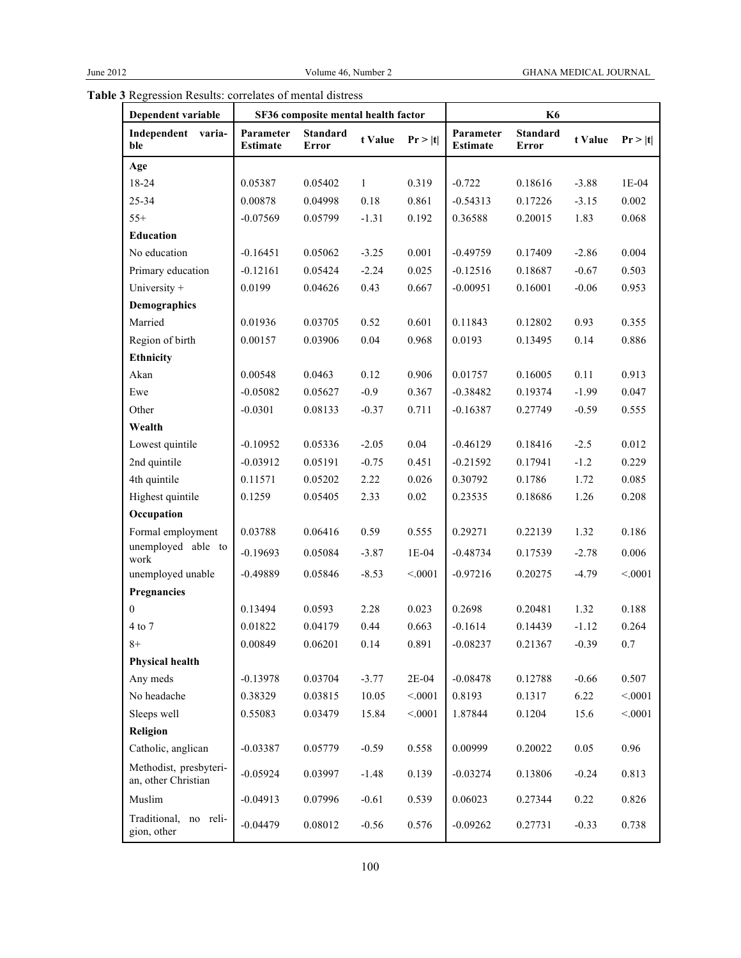| Dependent variable                            | SF36 composite mental health factor |                          |              | <b>K6</b> |                              |                          |         |         |
|-----------------------------------------------|-------------------------------------|--------------------------|--------------|-----------|------------------------------|--------------------------|---------|---------|
| Independent varia-<br>ble                     | Parameter<br><b>Estimate</b>        | <b>Standard</b><br>Error | t Value      | Pr >  t   | Parameter<br><b>Estimate</b> | <b>Standard</b><br>Error | t Value | Pr >  t |
| Age                                           |                                     |                          |              |           |                              |                          |         |         |
| 18-24                                         | 0.05387                             | 0.05402                  | $\mathbf{1}$ | 0.319     | $-0.722$                     | 0.18616                  | $-3.88$ | $1E-04$ |
| 25-34                                         | 0.00878                             | 0.04998                  | 0.18         | 0.861     | $-0.54313$                   | 0.17226                  | $-3.15$ | 0.002   |
| $55+$                                         | $-0.07569$                          | 0.05799                  | $-1.31$      | 0.192     | 0.36588                      | 0.20015                  | 1.83    | 0.068   |
| Education                                     |                                     |                          |              |           |                              |                          |         |         |
| No education                                  | $-0.16451$                          | 0.05062                  | $-3.25$      | 0.001     | $-0.49759$                   | 0.17409                  | $-2.86$ | 0.004   |
| Primary education                             | $-0.12161$                          | 0.05424                  | $-2.24$      | 0.025     | $-0.12516$                   | 0.18687                  | $-0.67$ | 0.503   |
| University +                                  | 0.0199                              | 0.04626                  | 0.43         | 0.667     | $-0.00951$                   | 0.16001                  | $-0.06$ | 0.953   |
| Demographics                                  |                                     |                          |              |           |                              |                          |         |         |
| Married                                       | 0.01936                             | 0.03705                  | 0.52         | 0.601     | 0.11843                      | 0.12802                  | 0.93    | 0.355   |
| Region of birth                               | 0.00157                             | 0.03906                  | 0.04         | 0.968     | 0.0193                       | 0.13495                  | 0.14    | 0.886   |
| Ethnicity                                     |                                     |                          |              |           |                              |                          |         |         |
| Akan                                          | 0.00548                             | 0.0463                   | 0.12         | 0.906     | 0.01757                      | 0.16005                  | 0.11    | 0.913   |
| Ewe                                           | $-0.05082$                          | 0.05627                  | $-0.9$       | 0.367     | $-0.38482$                   | 0.19374                  | $-1.99$ | 0.047   |
| Other                                         | $-0.0301$                           | 0.08133                  | $-0.37$      | 0.711     | $-0.16387$                   | 0.27749                  | $-0.59$ | 0.555   |
| Wealth                                        |                                     |                          |              |           |                              |                          |         |         |
| Lowest quintile                               | $-0.10952$                          | 0.05336                  | $-2.05$      | 0.04      | $-0.46129$                   | 0.18416                  | $-2.5$  | 0.012   |
| 2nd quintile                                  | $-0.03912$                          | 0.05191                  | $-0.75$      | 0.451     | $-0.21592$                   | 0.17941                  | $-1.2$  | 0.229   |
| 4th quintile                                  | 0.11571                             | 0.05202                  | 2.22         | 0.026     | 0.30792                      | 0.1786                   | 1.72    | 0.085   |
| Highest quintile                              | 0.1259                              | 0.05405                  | 2.33         | $0.02\,$  | 0.23535                      | 0.18686                  | 1.26    | 0.208   |
| Occupation                                    |                                     |                          |              |           |                              |                          |         |         |
| Formal employment                             | 0.03788                             | 0.06416                  | 0.59         | 0.555     | 0.29271                      | 0.22139                  | 1.32    | 0.186   |
| unemployed able to<br>work                    | $-0.19693$                          | 0.05084                  | $-3.87$      | 1E-04     | $-0.48734$                   | 0.17539                  | $-2.78$ | 0.006   |
| unemployed unable                             | $-0.49889$                          | 0.05846                  | $-8.53$      | < .0001   | $-0.97216$                   | 0.20275                  | $-4.79$ | < 0001  |
| Pregnancies                                   |                                     |                          |              |           |                              |                          |         |         |
| $\boldsymbol{0}$                              | 0.13494                             | 0.0593                   | 2.28         | 0.023     | 0.2698                       | 0.20481                  | 1.32    | 0.188   |
| 4 to 7                                        | 0.01822                             | 0.04179                  | 0.44         | 0.663     | $-0.1614$                    | 0.14439                  | $-1.12$ | 0.264   |
| $8+$                                          | 0.00849                             | 0.06201                  | 0.14         | 0.891     | $-0.08237$                   | 0.21367                  | $-0.39$ | 0.7     |
| <b>Physical health</b>                        |                                     |                          |              |           |                              |                          |         |         |
| Any meds                                      | $-0.13978$                          | 0.03704                  | $-3.77$      | $2E-04$   | $-0.08478$                   | 0.12788                  | $-0.66$ | 0.507   |
| No headache                                   | 0.38329                             | 0.03815                  | 10.05        | < 0001    | 0.8193                       | 0.1317                   | 6.22    | < 0001  |
| Sleeps well                                   | 0.55083                             | 0.03479                  | 15.84        | < .0001   | 1.87844                      | 0.1204                   | 15.6    | < 0.001 |
| Religion                                      |                                     |                          |              |           |                              |                          |         |         |
| Catholic, anglican                            | $-0.03387$                          | 0.05779                  | $-0.59$      | 0.558     | 0.00999                      | 0.20022                  | 0.05    | 0.96    |
| Methodist, presbyteri-<br>an, other Christian | $-0.05924$                          | 0.03997                  | $-1.48$      | 0.139     | $-0.03274$                   | 0.13806                  | $-0.24$ | 0.813   |
| Muslim                                        | $-0.04913$                          | 0.07996                  | $-0.61$      | 0.539     | 0.06023                      | 0.27344                  | 0.22    | 0.826   |
| Traditional, no reli-<br>gion, other          | $-0.04479$                          | 0.08012                  | $-0.56$      | 0.576     | $-0.09262$                   | 0.27731                  | $-0.33$ | 0.738   |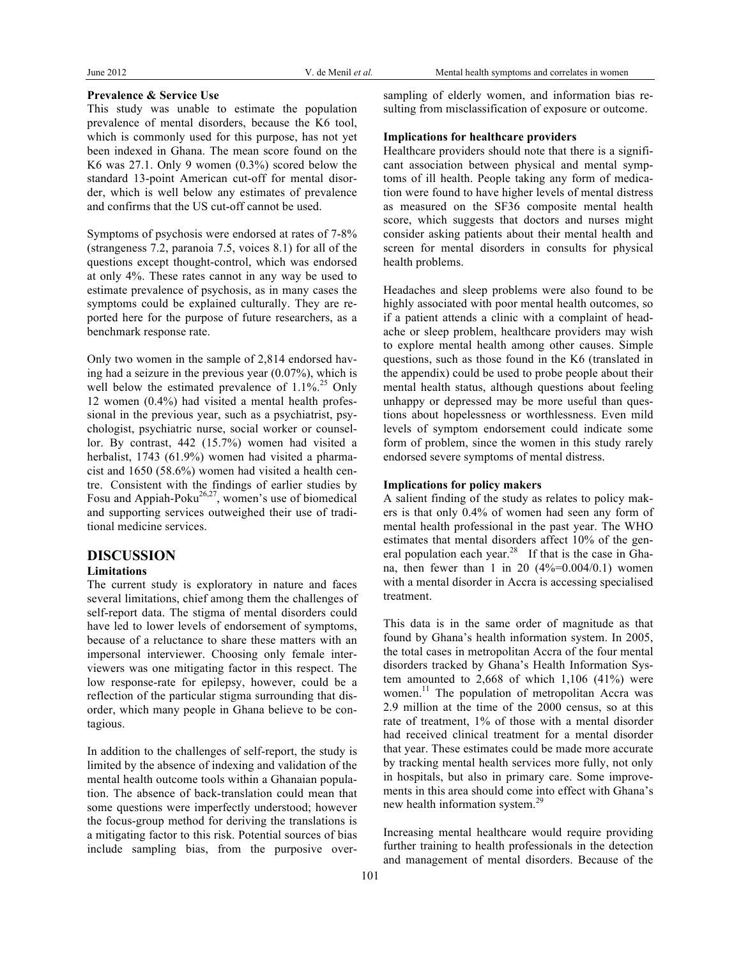#### **Prevalence & Service Use**

This study was unable to estimate the population prevalence of mental disorders, because the K6 tool, which is commonly used for this purpose, has not yet been indexed in Ghana. The mean score found on the K6 was 27.1. Only 9 women (0.3%) scored below the standard 13-point American cut-off for mental disorder, which is well below any estimates of prevalence and confirms that the US cut-off cannot be used.

Symptoms of psychosis were endorsed at rates of 7-8% (strangeness 7.2, paranoia 7.5, voices 8.1) for all of the questions except thought-control, which was endorsed at only 4%. These rates cannot in any way be used to estimate prevalence of psychosis, as in many cases the symptoms could be explained culturally. They are reported here for the purpose of future researchers, as a benchmark response rate.

Only two women in the sample of 2,814 endorsed having had a seizure in the previous year (0.07%), which is well below the estimated prevalence of  $1.1\%^{25}$  Only 12 women (0.4%) had visited a mental health professional in the previous year, such as a psychiatrist, psychologist, psychiatric nurse, social worker or counsellor. By contrast, 442 (15.7%) women had visited a herbalist, 1743 (61.9%) women had visited a pharmacist and 1650 (58.6%) women had visited a health centre. Consistent with the findings of earlier studies by Fosu and Appiah-Poku $^{26,27}$ , women's use of biomedical and supporting services outweighed their use of traditional medicine services.

## **DISCUSSION**

### **Limitations**

The current study is exploratory in nature and faces several limitations, chief among them the challenges of self-report data. The stigma of mental disorders could have led to lower levels of endorsement of symptoms, because of a reluctance to share these matters with an impersonal interviewer. Choosing only female interviewers was one mitigating factor in this respect. The low response-rate for epilepsy, however, could be a reflection of the particular stigma surrounding that disorder, which many people in Ghana believe to be contagious.

In addition to the challenges of self-report, the study is limited by the absence of indexing and validation of the mental health outcome tools within a Ghanaian population. The absence of back-translation could mean that some questions were imperfectly understood; however the focus-group method for deriving the translations is a mitigating factor to this risk. Potential sources of bias include sampling bias, from the purposive oversampling of elderly women, and information bias resulting from misclassification of exposure or outcome.

#### **Implications for healthcare providers**

Healthcare providers should note that there is a significant association between physical and mental symptoms of ill health. People taking any form of medication were found to have higher levels of mental distress as measured on the SF36 composite mental health score, which suggests that doctors and nurses might consider asking patients about their mental health and screen for mental disorders in consults for physical health problems.

Headaches and sleep problems were also found to be highly associated with poor mental health outcomes, so if a patient attends a clinic with a complaint of headache or sleep problem, healthcare providers may wish to explore mental health among other causes. Simple questions, such as those found in the K6 (translated in the appendix) could be used to probe people about their mental health status, although questions about feeling unhappy or depressed may be more useful than questions about hopelessness or worthlessness. Even mild levels of symptom endorsement could indicate some form of problem, since the women in this study rarely endorsed severe symptoms of mental distress.

#### **Implications for policy makers**

A salient finding of the study as relates to policy makers is that only 0.4% of women had seen any form of mental health professional in the past year. The WHO estimates that mental disorders affect 10% of the general population each year.<sup>28</sup> If that is the case in Ghana, then fewer than 1 in 20  $(4\% = 0.004/0.1)$  women with a mental disorder in Accra is accessing specialised treatment.

This data is in the same order of magnitude as that found by Ghana's health information system. In 2005, the total cases in metropolitan Accra of the four mental disorders tracked by Ghana's Health Information System amounted to 2,668 of which 1,106 (41%) were women.<sup>11</sup> The population of metropolitan Accra was 2.9 million at the time of the 2000 census, so at this rate of treatment, 1% of those with a mental disorder had received clinical treatment for a mental disorder that year. These estimates could be made more accurate by tracking mental health services more fully, not only in hospitals, but also in primary care. Some improvements in this area should come into effect with Ghana's new health information system.<sup>29</sup>

Increasing mental healthcare would require providing further training to health professionals in the detection and management of mental disorders. Because of the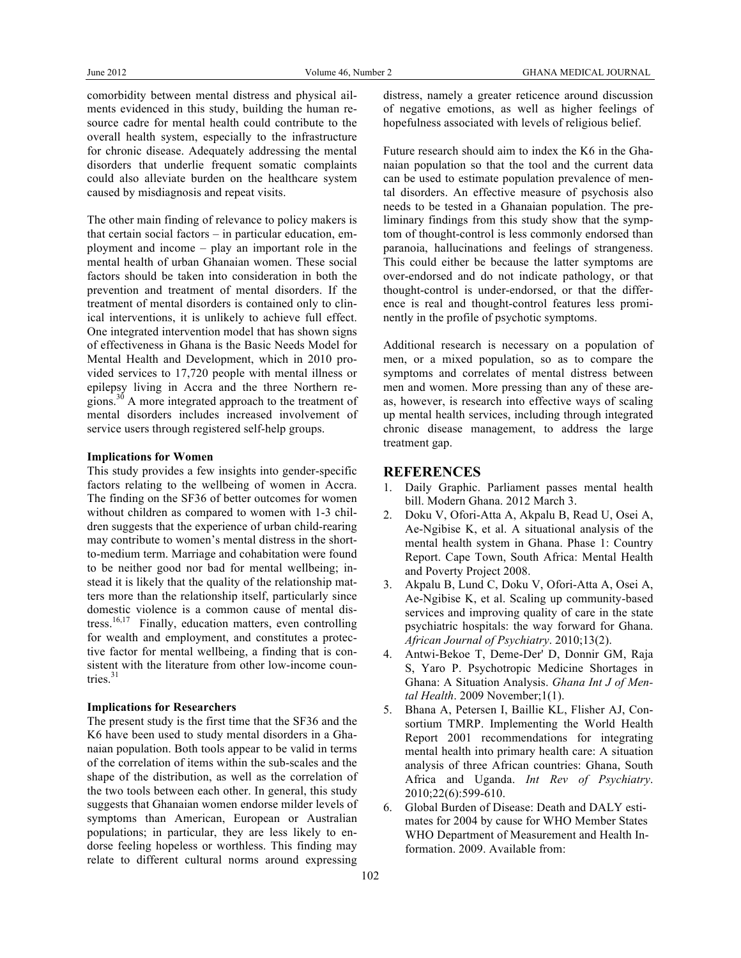comorbidity between mental distress and physical ailments evidenced in this study, building the human resource cadre for mental health could contribute to the overall health system, especially to the infrastructure for chronic disease. Adequately addressing the mental disorders that underlie frequent somatic complaints could also alleviate burden on the healthcare system caused by misdiagnosis and repeat visits.

The other main finding of relevance to policy makers is that certain social factors – in particular education, employment and income – play an important role in the mental health of urban Ghanaian women. These social factors should be taken into consideration in both the prevention and treatment of mental disorders. If the treatment of mental disorders is contained only to clinical interventions, it is unlikely to achieve full effect. One integrated intervention model that has shown signs of effectiveness in Ghana is the Basic Needs Model for Mental Health and Development, which in 2010 provided services to 17,720 people with mental illness or epilepsy living in Accra and the three Northern regions.<sup>30</sup> A more integrated approach to the treatment of mental disorders includes increased involvement of service users through registered self-help groups.

#### **Implications for Women**

This study provides a few insights into gender-specific factors relating to the wellbeing of women in Accra. The finding on the SF36 of better outcomes for women without children as compared to women with 1-3 children suggests that the experience of urban child-rearing may contribute to women's mental distress in the shortto-medium term. Marriage and cohabitation were found to be neither good nor bad for mental wellbeing; instead it is likely that the quality of the relationship matters more than the relationship itself, particularly since domestic violence is a common cause of mental distress.<sup>16,17</sup> Finally, education matters, even controlling for wealth and employment, and constitutes a protective factor for mental wellbeing, a finding that is consistent with the literature from other low-income countries. 31

#### **Implications for Researchers**

The present study is the first time that the SF36 and the K6 have been used to study mental disorders in a Ghanaian population. Both tools appear to be valid in terms of the correlation of items within the sub-scales and the shape of the distribution, as well as the correlation of the two tools between each other. In general, this study suggests that Ghanaian women endorse milder levels of symptoms than American, European or Australian populations; in particular, they are less likely to endorse feeling hopeless or worthless. This finding may relate to different cultural norms around expressing

distress, namely a greater reticence around discussion of negative emotions, as well as higher feelings of hopefulness associated with levels of religious belief.

Future research should aim to index the K6 in the Ghanaian population so that the tool and the current data can be used to estimate population prevalence of mental disorders. An effective measure of psychosis also needs to be tested in a Ghanaian population. The preliminary findings from this study show that the symptom of thought-control is less commonly endorsed than paranoia, hallucinations and feelings of strangeness. This could either be because the latter symptoms are over-endorsed and do not indicate pathology, or that thought-control is under-endorsed, or that the difference is real and thought-control features less prominently in the profile of psychotic symptoms.

Additional research is necessary on a population of men, or a mixed population, so as to compare the symptoms and correlates of mental distress between men and women. More pressing than any of these areas, however, is research into effective ways of scaling up mental health services, including through integrated chronic disease management, to address the large treatment gap.

## **REFERENCES**

- 1. Daily Graphic. Parliament passes mental health bill. Modern Ghana. 2012 March 3.
- 2. Doku V, Ofori-Atta A, Akpalu B, Read U, Osei A, Ae-Ngibise K, et al. A situational analysis of the mental health system in Ghana. Phase 1: Country Report. Cape Town, South Africa: Mental Health and Poverty Project 2008.
- 3. Akpalu B, Lund C, Doku V, Ofori-Atta A, Osei A, Ae-Ngibise K, et al. Scaling up community-based services and improving quality of care in the state psychiatric hospitals: the way forward for Ghana. *African Journal of Psychiatry*. 2010;13(2).
- 4. Antwi-Bekoe T, Deme-Der' D, Donnir GM, Raja S, Yaro P. Psychotropic Medicine Shortages in Ghana: A Situation Analysis. *Ghana Int J of Mental Health*. 2009 November;1(1).
- 5. Bhana A, Petersen I, Baillie KL, Flisher AJ, Consortium TMRP. Implementing the World Health Report 2001 recommendations for integrating mental health into primary health care: A situation analysis of three African countries: Ghana, South Africa and Uganda. *Int Rev of Psychiatry*. 2010;22(6):599-610.
- 6. Global Burden of Disease: Death and DALY estimates for 2004 by cause for WHO Member States WHO Department of Measurement and Health Information. 2009. Available from: